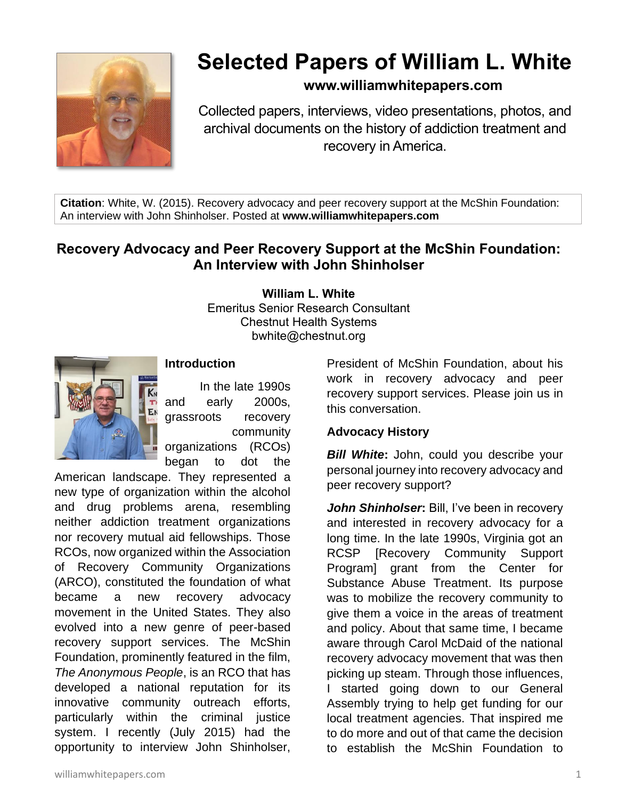

# **Selected Papers of William L. White**

## **www.williamwhitepapers.com**

Collected papers, interviews, video presentations, photos, and archival documents on the history of addiction treatment and recovery in America.

**Citation**: White, W. (2015). Recovery advocacy and peer recovery support at the McShin Foundation: An interview with John Shinholser. Posted at **www.williamwhitepapers.com**

# **Recovery Advocacy and Peer Recovery Support at the McShin Foundation: An Interview with John Shinholser**

**William L. White**

Emeritus Senior Research Consultant Chestnut Health Systems bwhite@chestnut.org



## **Introduction**

In the late 1990s and early 2000s, grassroots recovery community organizations (RCOs)

began to dot the

American landscape. They represented a new type of organization within the alcohol and drug problems arena, resembling neither addiction treatment organizations nor recovery mutual aid fellowships. Those RCOs, now organized within the Association of Recovery Community Organizations (ARCO), constituted the foundation of what became a new recovery advocacy movement in the United States. They also evolved into a new genre of peer-based recovery support services. The McShin Foundation, prominently featured in the film, *The Anonymous People*, is an RCO that has developed a national reputation for its innovative community outreach efforts, particularly within the criminal justice system. I recently (July 2015) had the opportunity to interview John Shinholser,

President of McShin Foundation, about his work in recovery advocacy and peer recovery support services. Please join us in this conversation.

#### **Advocacy History**

*Bill White***:** John, could you describe your personal journey into recovery advocacy and peer recovery support?

*John Shinholser***:** Bill, I've been in recovery and interested in recovery advocacy for a long time. In the late 1990s, Virginia got an RCSP [Recovery Community Support Program] grant from the Center for Substance Abuse Treatment. Its purpose was to mobilize the recovery community to give them a voice in the areas of treatment and policy. About that same time, I became aware through Carol McDaid of the national recovery advocacy movement that was then picking up steam. Through those influences, I started going down to our General Assembly trying to help get funding for our local treatment agencies. That inspired me to do more and out of that came the decision to establish the McShin Foundation to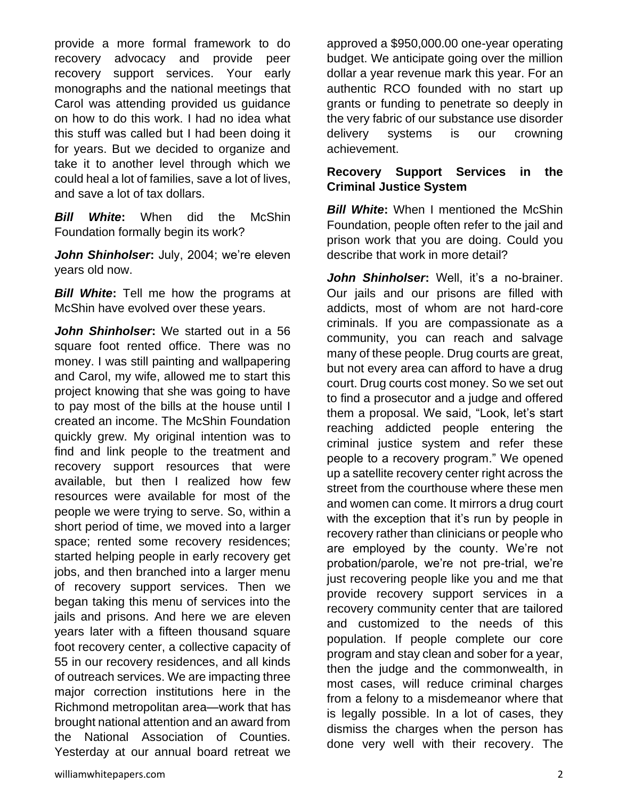provide a more formal framework to do recovery advocacy and provide peer recovery support services. Your early monographs and the national meetings that Carol was attending provided us guidance on how to do this work. I had no idea what this stuff was called but I had been doing it for years. But we decided to organize and take it to another level through which we could heal a lot of families, save a lot of lives, and save a lot of tax dollars.

*Bill White***:** When did the McShin Foundation formally begin its work?

*John Shinholser***:** July, 2004; we're eleven years old now.

**Bill White:** Tell me how the programs at McShin have evolved over these years.

*John Shinholser***:** We started out in a 56 square foot rented office. There was no money. I was still painting and wallpapering and Carol, my wife, allowed me to start this project knowing that she was going to have to pay most of the bills at the house until I created an income. The McShin Foundation quickly grew. My original intention was to find and link people to the treatment and recovery support resources that were available, but then I realized how few resources were available for most of the people we were trying to serve. So, within a short period of time, we moved into a larger space; rented some recovery residences; started helping people in early recovery get jobs, and then branched into a larger menu of recovery support services. Then we began taking this menu of services into the jails and prisons. And here we are eleven years later with a fifteen thousand square foot recovery center, a collective capacity of 55 in our recovery residences, and all kinds of outreach services. We are impacting three major correction institutions here in the Richmond metropolitan area—work that has brought national attention and an award from the National Association of Counties. Yesterday at our annual board retreat we

approved a \$950,000.00 one-year operating budget. We anticipate going over the million dollar a year revenue mark this year. For an authentic RCO founded with no start up grants or funding to penetrate so deeply in the very fabric of our substance use disorder delivery systems is our crowning achievement.

## **Recovery Support Services in the Criminal Justice System**

*Bill White*: When I mentioned the McShin Foundation, people often refer to the jail and prison work that you are doing. Could you describe that work in more detail?

*John Shinholser***:** Well, it's a no-brainer. Our jails and our prisons are filled with addicts, most of whom are not hard-core criminals. If you are compassionate as a community, you can reach and salvage many of these people. Drug courts are great, but not every area can afford to have a drug court. Drug courts cost money. So we set out to find a prosecutor and a judge and offered them a proposal. We said, "Look, let's start reaching addicted people entering the criminal justice system and refer these people to a recovery program." We opened up a satellite recovery center right across the street from the courthouse where these men and women can come. It mirrors a drug court with the exception that it's run by people in recovery rather than clinicians or people who are employed by the county. We're not probation/parole, we're not pre-trial, we're just recovering people like you and me that provide recovery support services in a recovery community center that are tailored and customized to the needs of this population. If people complete our core program and stay clean and sober for a year, then the judge and the commonwealth, in most cases, will reduce criminal charges from a felony to a misdemeanor where that is legally possible. In a lot of cases, they dismiss the charges when the person has done very well with their recovery. The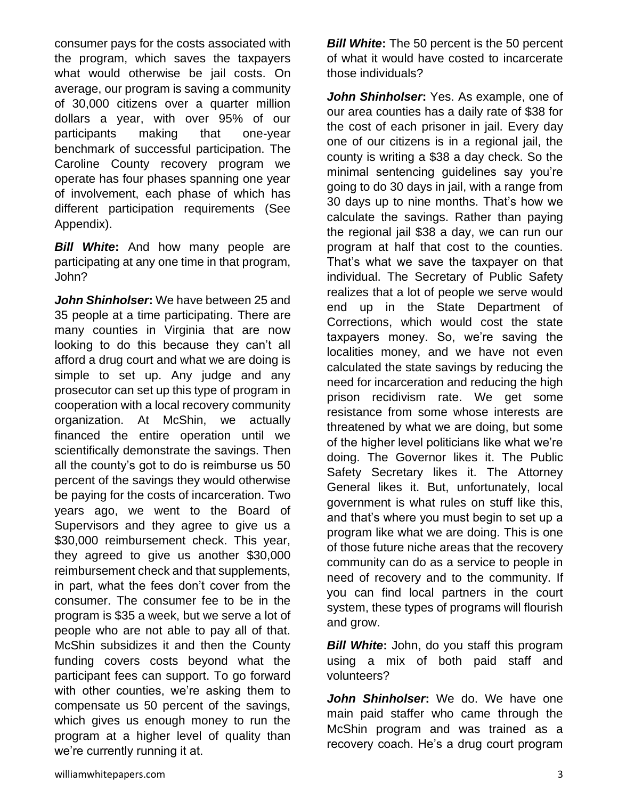consumer pays for the costs associated with the program, which saves the taxpayers what would otherwise be jail costs. On average, our program is saving a community of 30,000 citizens over a quarter million dollars a year, with over 95% of our participants making that one-year benchmark of successful participation. The Caroline County recovery program we operate has four phases spanning one year of involvement, each phase of which has different participation requirements (See Appendix).

*Bill White***:** And how many people are participating at any one time in that program, John?

*John Shinholser***:** We have between 25 and 35 people at a time participating. There are many counties in Virginia that are now looking to do this because they can't all afford a drug court and what we are doing is simple to set up. Any judge and any prosecutor can set up this type of program in cooperation with a local recovery community organization. At McShin, we actually financed the entire operation until we scientifically demonstrate the savings. Then all the county's got to do is reimburse us 50 percent of the savings they would otherwise be paying for the costs of incarceration. Two years ago, we went to the Board of Supervisors and they agree to give us a \$30,000 reimbursement check. This year, they agreed to give us another \$30,000 reimbursement check and that supplements, in part, what the fees don't cover from the consumer. The consumer fee to be in the program is \$35 a week, but we serve a lot of people who are not able to pay all of that. McShin subsidizes it and then the County funding covers costs beyond what the participant fees can support. To go forward with other counties, we're asking them to compensate us 50 percent of the savings, which gives us enough money to run the program at a higher level of quality than we're currently running it at.

*Bill White***:** The 50 percent is the 50 percent of what it would have costed to incarcerate those individuals?

*John Shinholser***:** Yes. As example, one of our area counties has a daily rate of \$38 for the cost of each prisoner in jail. Every day one of our citizens is in a regional jail, the county is writing a \$38 a day check. So the minimal sentencing guidelines say you're going to do 30 days in jail, with a range from 30 days up to nine months. That's how we calculate the savings. Rather than paying the regional jail \$38 a day, we can run our program at half that cost to the counties. That's what we save the taxpayer on that individual. The Secretary of Public Safety realizes that a lot of people we serve would end up in the State Department of Corrections, which would cost the state taxpayers money. So, we're saving the localities money, and we have not even calculated the state savings by reducing the need for incarceration and reducing the high prison recidivism rate. We get some resistance from some whose interests are threatened by what we are doing, but some of the higher level politicians like what we're doing. The Governor likes it. The Public Safety Secretary likes it. The Attorney General likes it. But, unfortunately, local government is what rules on stuff like this, and that's where you must begin to set up a program like what we are doing. This is one of those future niche areas that the recovery community can do as a service to people in need of recovery and to the community. If you can find local partners in the court system, these types of programs will flourish and grow.

*Bill White:* John, do you staff this program using a mix of both paid staff and volunteers?

*John Shinholser***:** We do. We have one main paid staffer who came through the McShin program and was trained as a recovery coach. He's a drug court program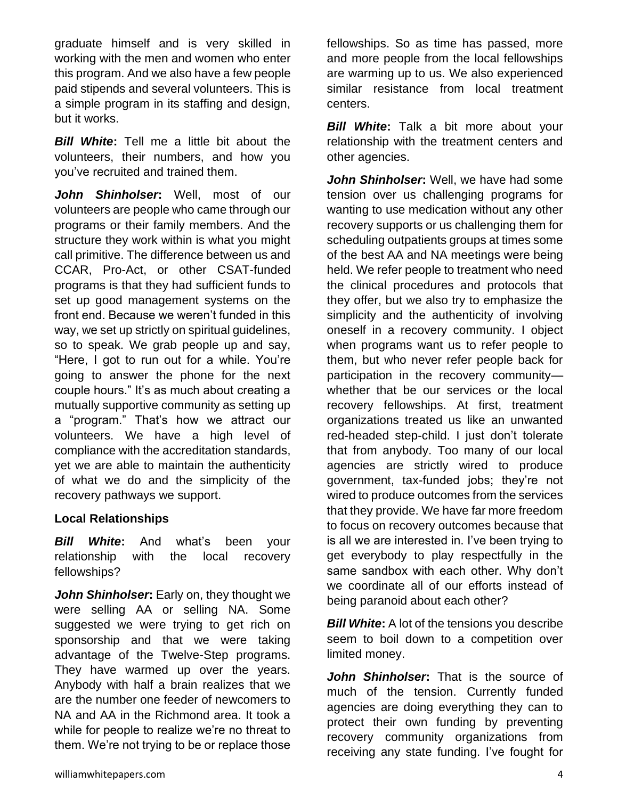graduate himself and is very skilled in working with the men and women who enter this program. And we also have a few people paid stipends and several volunteers. This is a simple program in its staffing and design, but it works.

*Bill White***:** Tell me a little bit about the volunteers, their numbers, and how you you've recruited and trained them.

*John Shinholser***:** Well, most of our volunteers are people who came through our programs or their family members. And the structure they work within is what you might call primitive. The difference between us and CCAR, Pro-Act, or other CSAT-funded programs is that they had sufficient funds to set up good management systems on the front end. Because we weren't funded in this way, we set up strictly on spiritual guidelines, so to speak. We grab people up and say, "Here, I got to run out for a while. You're going to answer the phone for the next couple hours." It's as much about creating a mutually supportive community as setting up a "program." That's how we attract our volunteers. We have a high level of compliance with the accreditation standards, yet we are able to maintain the authenticity of what we do and the simplicity of the recovery pathways we support.

#### **Local Relationships**

*Bill White***:** And what's been your relationship with the local recovery fellowships?

*John Shinholser***:** Early on, they thought we were selling AA or selling NA. Some suggested we were trying to get rich on sponsorship and that we were taking advantage of the Twelve-Step programs. They have warmed up over the years. Anybody with half a brain realizes that we are the number one feeder of newcomers to NA and AA in the Richmond area. It took a while for people to realize we're no threat to them. We're not trying to be or replace those

fellowships. So as time has passed, more and more people from the local fellowships are warming up to us. We also experienced similar resistance from local treatment centers.

*Bill White***:** Talk a bit more about your relationship with the treatment centers and other agencies.

*John Shinholser***:** Well, we have had some tension over us challenging programs for wanting to use medication without any other recovery supports or us challenging them for scheduling outpatients groups at times some of the best AA and NA meetings were being held. We refer people to treatment who need the clinical procedures and protocols that they offer, but we also try to emphasize the simplicity and the authenticity of involving oneself in a recovery community. I object when programs want us to refer people to them, but who never refer people back for participation in the recovery community whether that be our services or the local recovery fellowships. At first, treatment organizations treated us like an unwanted red-headed step-child. I just don't tolerate that from anybody. Too many of our local agencies are strictly wired to produce government, tax-funded jobs; they're not wired to produce outcomes from the services that they provide. We have far more freedom to focus on recovery outcomes because that is all we are interested in. I've been trying to get everybody to play respectfully in the same sandbox with each other. Why don't we coordinate all of our efforts instead of being paranoid about each other?

*Bill White:* A lot of the tensions you describe seem to boil down to a competition over limited money.

*John Shinholser***:** That is the source of much of the tension. Currently funded agencies are doing everything they can to protect their own funding by preventing recovery community organizations from receiving any state funding. I've fought for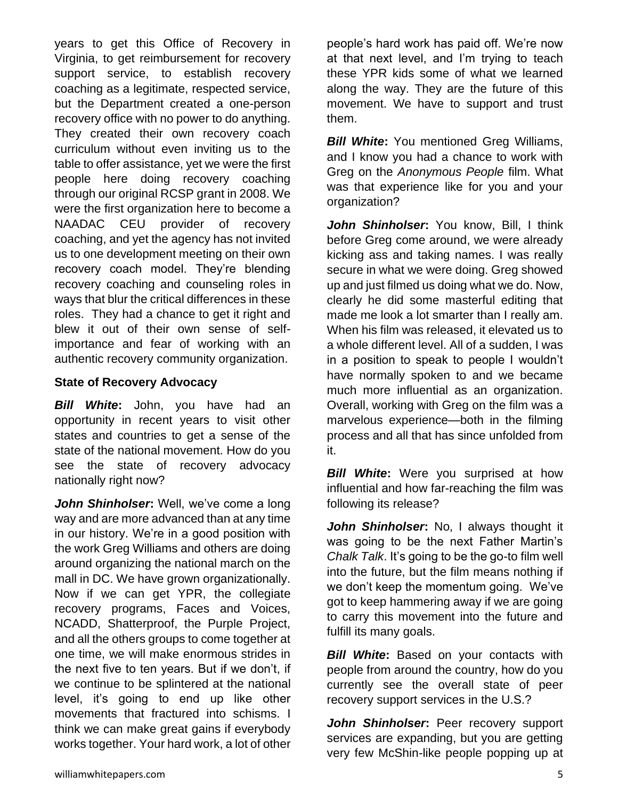years to get this Office of Recovery in Virginia, to get reimbursement for recovery support service, to establish recovery coaching as a legitimate, respected service, but the Department created a one-person recovery office with no power to do anything. They created their own recovery coach curriculum without even inviting us to the table to offer assistance, yet we were the first people here doing recovery coaching through our original RCSP grant in 2008. We were the first organization here to become a NAADAC CEU provider of recovery coaching, and yet the agency has not invited us to one development meeting on their own recovery coach model. They're blending recovery coaching and counseling roles in ways that blur the critical differences in these roles. They had a chance to get it right and blew it out of their own sense of selfimportance and fear of working with an authentic recovery community organization.

## **State of Recovery Advocacy**

states and countries to get a sense of the state of the national movement. How do you see the state of recovery advocacy nationally right now? *John Shinholser***:** Well, we've come a long way and are more advanced than at any time in our history. We're in a good position with the work Greg Williams and others are doing around organizing the national march on the

*Bill White***:** John, you have had an opportunity in recent years to visit other

mall in DC. We have grown organizationally. Now if we can get YPR, the collegiate recovery programs, Faces and Voices, NCADD, Shatterproof, the Purple Project, and all the others groups to come together at one time, we will make enormous strides in the next five to ten years. But if we don't, if we continue to be splintered at the national level, it's going to end up like other movements that fractured into schisms. I think we can make great gains if everybody works together. Your hard work, a lot of other people's hard work has paid off. We're now at that next level, and I'm trying to teach these YPR kids some of what we learned along the way. They are the future of this movement. We have to support and trust them.

*Bill White:* You mentioned Greg Williams, and I know you had a chance to work with Greg on the *Anonymous People* film. What was that experience like for you and your organization?

*John Shinholser***:** You know, Bill, I think before Greg come around, we were already kicking ass and taking names. I was really secure in what we were doing. Greg showed up and just filmed us doing what we do. Now, clearly he did some masterful editing that made me look a lot smarter than I really am. When his film was released, it elevated us to a whole different level. All of a sudden, I was in a position to speak to people I wouldn't have normally spoken to and we became much more influential as an organization. Overall, working with Greg on the film was a marvelous experience—both in the filming process and all that has since unfolded from it.

*Bill White*: Were you surprised at how influential and how far-reaching the film was following its release?

*John Shinholser***:** No, I always thought it was going to be the next Father Martin's *Chalk Talk*. It's going to be the go-to film well into the future, but the film means nothing if we don't keep the momentum going. We've got to keep hammering away if we are going to carry this movement into the future and fulfill its many goals.

**Bill White:** Based on your contacts with people from around the country, how do you currently see the overall state of peer recovery support services in the U.S.?

*John Shinholser***:** Peer recovery support services are expanding, but you are getting very few McShin-like people popping up at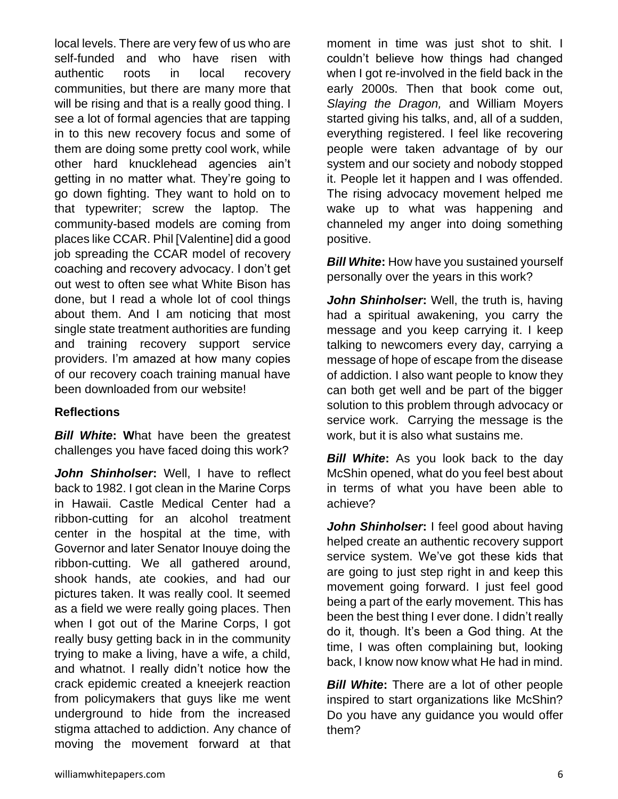local levels. There are very few of us who are self-funded and who have risen with authentic roots in local recovery communities, but there are many more that will be rising and that is a really good thing. I see a lot of formal agencies that are tapping in to this new recovery focus and some of them are doing some pretty cool work, while other hard knucklehead agencies ain't getting in no matter what. They're going to go down fighting. They want to hold on to that typewriter; screw the laptop. The community-based models are coming from places like CCAR. Phil [Valentine] did a good job spreading the CCAR model of recovery coaching and recovery advocacy. I don't get out west to often see what White Bison has done, but I read a whole lot of cool things about them. And I am noticing that most single state treatment authorities are funding and training recovery support service providers. I'm amazed at how many copies of our recovery coach training manual have been downloaded from our website!

## **Reflections**

*Bill White***: W**hat have been the greatest challenges you have faced doing this work?

*John Shinholser***:** Well, I have to reflect back to 1982. I got clean in the Marine Corps in Hawaii. Castle Medical Center had a ribbon-cutting for an alcohol treatment center in the hospital at the time, with Governor and later Senator Inouye doing the ribbon-cutting. We all gathered around, shook hands, ate cookies, and had our pictures taken. It was really cool. It seemed as a field we were really going places. Then when I got out of the Marine Corps, I got really busy getting back in in the community trying to make a living, have a wife, a child, and whatnot. I really didn't notice how the crack epidemic created a kneejerk reaction from policymakers that guys like me went underground to hide from the increased stigma attached to addiction. Any chance of moving the movement forward at that moment in time was just shot to shit. I couldn't believe how things had changed when I got re-involved in the field back in the early 2000s. Then that book come out, *Slaying the Dragon,* and William Moyers started giving his talks, and, all of a sudden, everything registered. I feel like recovering people were taken advantage of by our system and our society and nobody stopped it. People let it happen and I was offended. The rising advocacy movement helped me wake up to what was happening and channeled my anger into doing something positive.

*Bill White***:** How have you sustained yourself personally over the years in this work?

*John Shinholser***:** Well, the truth is, having had a spiritual awakening, you carry the message and you keep carrying it. I keep talking to newcomers every day, carrying a message of hope of escape from the disease of addiction. I also want people to know they can both get well and be part of the bigger solution to this problem through advocacy or service work. Carrying the message is the work, but it is also what sustains me.

**Bill White:** As you look back to the day McShin opened, what do you feel best about in terms of what you have been able to achieve?

*John Shinholser***:** I feel good about having helped create an authentic recovery support service system. We've got these kids that are going to just step right in and keep this movement going forward. I just feel good being a part of the early movement. This has been the best thing I ever done. I didn't really do it, though. It's been a God thing. At the time, I was often complaining but, looking back, I know now know what He had in mind.

*Bill White***:** There are a lot of other people inspired to start organizations like McShin? Do you have any guidance you would offer them?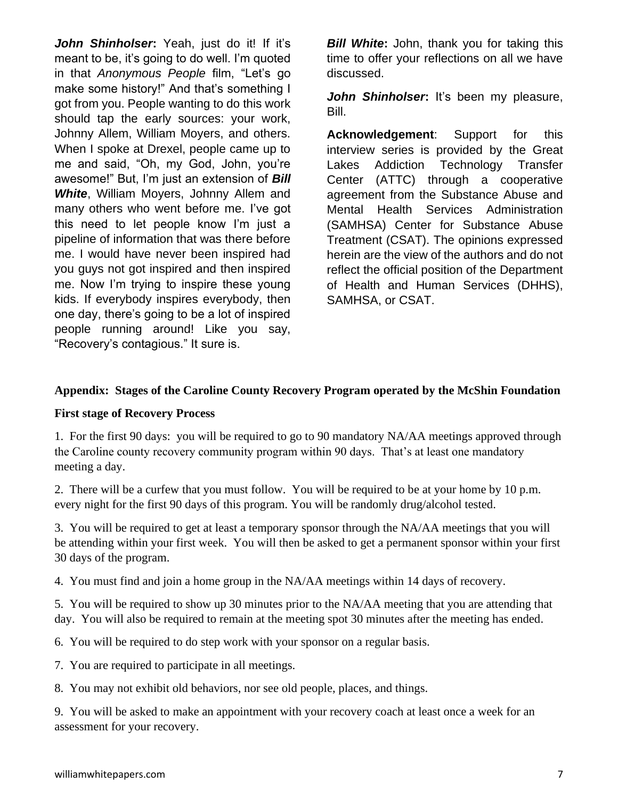*John Shinholser***:** Yeah, just do it! If it's meant to be, it's going to do well. I'm quoted in that *Anonymous People* film, "Let's go make some history!" And that's something I got from you. People wanting to do this work should tap the early sources: your work, Johnny Allem, William Moyers, and others. When I spoke at Drexel, people came up to me and said, "Oh, my God, John, you're awesome!" But, I'm just an extension of *Bill White*, William Moyers, Johnny Allem and many others who went before me. I've got this need to let people know I'm just a pipeline of information that was there before me. I would have never been inspired had you guys not got inspired and then inspired me. Now I'm trying to inspire these young kids. If everybody inspires everybody, then one day, there's going to be a lot of inspired people running around! Like you say, "Recovery's contagious." It sure is.

*Bill White***:** John, thank you for taking this time to offer your reflections on all we have discussed.

*John Shinholser***:** It's been my pleasure, Bill.

**Acknowledgement**: Support for this interview series is provided by the Great Lakes Addiction Technology Transfer Center (ATTC) through a cooperative agreement from the Substance Abuse and Mental Health Services Administration (SAMHSA) Center for Substance Abuse Treatment (CSAT). The opinions expressed herein are the view of the authors and do not reflect the official position of the Department of Health and Human Services (DHHS), SAMHSA, or CSAT.

#### **Appendix: Stages of the Caroline County Recovery Program operated by the McShin Foundation**

#### **First stage of Recovery Process**

1. For the first 90 days: you will be required to go to 90 mandatory NA/AA meetings approved through the Caroline county recovery community program within 90 days. That's at least one mandatory meeting a day.

2. There will be a curfew that you must follow. You will be required to be at your home by 10 p.m. every night for the first 90 days of this program. You will be randomly drug/alcohol tested.

3. You will be required to get at least a temporary sponsor through the NA/AA meetings that you will be attending within your first week. You will then be asked to get a permanent sponsor within your first 30 days of the program.

4. You must find and join a home group in the NA/AA meetings within 14 days of recovery.

5. You will be required to show up 30 minutes prior to the NA/AA meeting that you are attending that day. You will also be required to remain at the meeting spot 30 minutes after the meeting has ended.

6. You will be required to do step work with your sponsor on a regular basis.

7. You are required to participate in all meetings.

8. You may not exhibit old behaviors, nor see old people, places, and things.

9. You will be asked to make an appointment with your recovery coach at least once a week for an assessment for your recovery.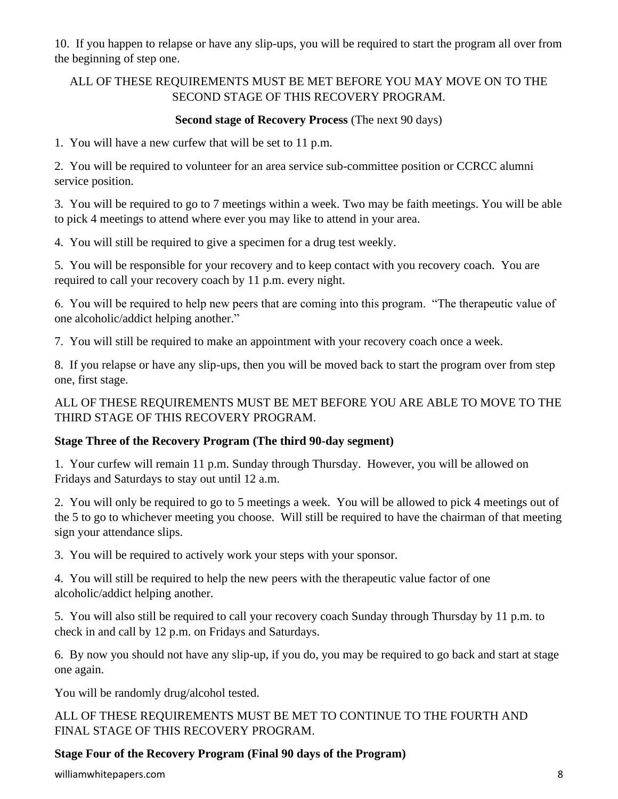10. If you happen to relapse or have any slip-ups, you will be required to start the program all over from the beginning of step one.

## ALL OF THESE REQUIREMENTS MUST BE MET BEFORE YOU MAY MOVE ON TO THE SECOND STAGE OF THIS RECOVERY PROGRAM.

#### **Second stage of Recovery Process** (The next 90 days)

1. You will have a new curfew that will be set to 11 p.m.

2. You will be required to volunteer for an area service sub-committee position or CCRCC alumni service position.

3. You will be required to go to 7 meetings within a week. Two may be faith meetings. You will be able to pick 4 meetings to attend where ever you may like to attend in your area.

4. You will still be required to give a specimen for a drug test weekly.

5. You will be responsible for your recovery and to keep contact with you recovery coach. You are required to call your recovery coach by 11 p.m. every night.

6. You will be required to help new peers that are coming into this program. "The therapeutic value of one alcoholic/addict helping another."

7. You will still be required to make an appointment with your recovery coach once a week.

8. If you relapse or have any slip-ups, then you will be moved back to start the program over from step one, first stage.

ALL OF THESE REQUIREMENTS MUST BE MET BEFORE YOU ARE ABLE TO MOVE TO THE THIRD STAGE OF THIS RECOVERY PROGRAM.

#### **Stage Three of the Recovery Program (The third 90-day segment)**

1. Your curfew will remain 11 p.m. Sunday through Thursday. However, you will be allowed on Fridays and Saturdays to stay out until 12 a.m.

2. You will only be required to go to 5 meetings a week. You will be allowed to pick 4 meetings out of the 5 to go to whichever meeting you choose. Will still be required to have the chairman of that meeting sign your attendance slips.

3. You will be required to actively work your steps with your sponsor.

4. You will still be required to help the new peers with the therapeutic value factor of one alcoholic/addict helping another.

5. You will also still be required to call your recovery coach Sunday through Thursday by 11 p.m. to check in and call by 12 p.m. on Fridays and Saturdays.

6. By now you should not have any slip-up, if you do, you may be required to go back and start at stage one again.

You will be randomly drug/alcohol tested.

ALL OF THESE REQUIREMENTS MUST BE MET TO CONTINUE TO THE FOURTH AND FINAL STAGE OF THIS RECOVERY PROGRAM.

## **Stage Four of the Recovery Program (Final 90 days of the Program)**

williamwhitepapers.com 8